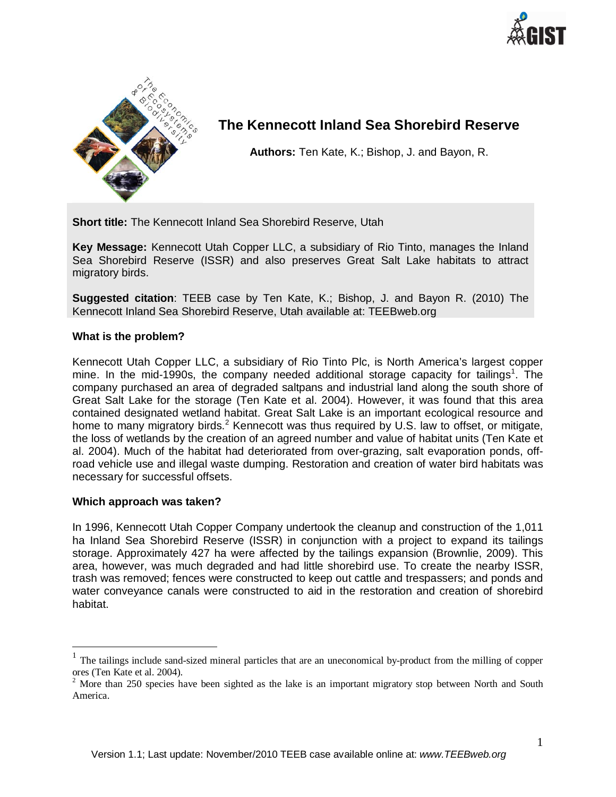



# **The Kennecott Inland Sea Shorebird Reserve**

**Authors:** Ten Kate, K.; Bishop, J. and Bayon, R.

**Short title:** The Kennecott Inland Sea Shorebird Reserve, Utah

**Key Message:** Kennecott Utah Copper LLC, a subsidiary of Rio Tinto, manages the Inland Sea Shorebird Reserve (ISSR) and also preserves Great Salt Lake habitats to attract migratory birds.

**Suggested citation**: TEEB case by Ten Kate, K.; Bishop, J. and Bayon R. (2010) The Kennecott Inland Sea Shorebird Reserve, Utah available at: TEEBweb.org

### **What is the problem?**

Kennecott Utah Copper LLC, a subsidiary of Rio Tinto Plc, is North America's largest copper mine. In the mid-[1](#page-0-0)990s, the company needed additional storage capacity for tailings<sup>1</sup>. The company purchased an area of degraded saltpans and industrial land along the south shore of Great Salt Lake for the storage (Ten Kate et al. 2004). However, it was found that this area contained designated wetland habitat. Great Salt Lake is an important ecological resource and home to many migratory birds.<sup>[2](#page-0-1)</sup> Kennecott was thus required by U.S. law to offset, or mitigate, the loss of wetlands by the creation of an agreed number and value of habitat units (Ten Kate et al. 2004). Much of the habitat had deteriorated from over-grazing, salt evaporation ponds, offroad vehicle use and illegal waste dumping. Restoration and creation of water bird habitats was necessary for successful offsets.

#### **Which approach was taken?**

In 1996, Kennecott Utah Copper Company undertook the cleanup and construction of the 1,011 ha Inland Sea Shorebird Reserve (ISSR) in conjunction with a project to expand its tailings storage. Approximately 427 ha were affected by the tailings expansion (Brownlie, 2009). This area, however, was much degraded and had little shorebird use. To create the nearby ISSR, trash was removed; fences were constructed to keep out cattle and trespassers; and ponds and water conveyance canals were constructed to aid in the restoration and creation of shorebird habitat.

<span id="page-0-0"></span> $1$  The tailings include sand-sized mineral particles that are an uneconomical by-product from the milling of copper ores (Ten Kate et al. 2004).

<span id="page-0-1"></span> $2^2$  More than 250 species have been sighted as the lake is an important migratory stop between North and South America.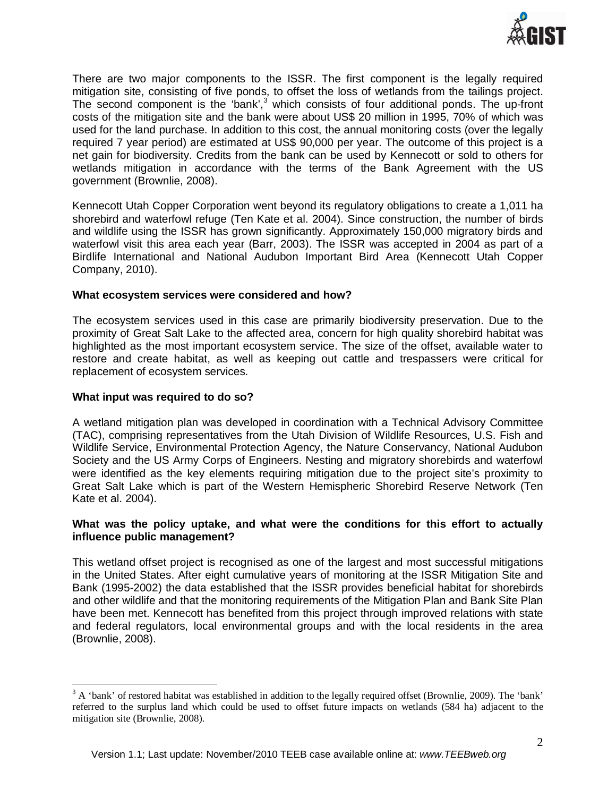

There are two major components to the ISSR. The first component is the legally required mitigation site, consisting of five ponds, to offset the loss of wetlands from the tailings project. The second component is the 'bank',<sup>[3](#page-1-0)</sup> which consists of four additional ponds. The up-front costs of the mitigation site and the bank were about US\$ 20 million in 1995, 70% of which was used for the land purchase. In addition to this cost, the annual monitoring costs (over the legally required 7 year period) are estimated at US\$ 90,000 per year. The outcome of this project is a net gain for biodiversity. Credits from the bank can be used by Kennecott or sold to others for wetlands mitigation in accordance with the terms of the Bank Agreement with the US government (Brownlie, 2008).

Kennecott Utah Copper Corporation went beyond its regulatory obligations to create a 1,011 ha shorebird and waterfowl refuge (Ten Kate et al. 2004). Since construction, the number of birds and wildlife using the ISSR has grown significantly. Approximately 150,000 migratory birds and waterfowl visit this area each year (Barr, 2003). The ISSR was accepted in 2004 as part of a Birdlife International and National Audubon Important Bird Area (Kennecott Utah Copper Company, 2010).

### **What ecosystem services were considered and how?**

The ecosystem services used in this case are primarily biodiversity preservation. Due to the proximity of Great Salt Lake to the affected area, concern for high quality shorebird habitat was highlighted as the most important ecosystem service. The size of the offset, available water to restore and create habitat, as well as keeping out cattle and trespassers were critical for replacement of ecosystem services.

### **What input was required to do so?**

A wetland mitigation plan was developed in coordination with a Technical Advisory Committee (TAC), comprising representatives from the Utah Division of Wildlife Resources, U.S. Fish and Wildlife Service, Environmental Protection Agency, the Nature Conservancy, National Audubon Society and the US Army Corps of Engineers. Nesting and migratory shorebirds and waterfowl were identified as the key elements requiring mitigation due to the project site's proximity to Great Salt Lake which is part of the Western Hemispheric Shorebird Reserve Network (Ten Kate et al. 2004).

## **What was the policy uptake, and what were the conditions for this effort to actually influence public management?**

This wetland offset project is recognised as one of the largest and most successful mitigations in the United States. After eight cumulative years of monitoring at the ISSR Mitigation Site and Bank (1995-2002) the data established that the ISSR provides beneficial habitat for shorebirds and other wildlife and that the monitoring requirements of the Mitigation Plan and Bank Site Plan have been met. Kennecott has benefited from this project through improved relations with state and federal regulators, local environmental groups and with the local residents in the area (Brownlie, 2008).

<span id="page-1-0"></span> $3$  A 'bank' of restored habitat was established in addition to the legally required offset (Brownlie, 2009). The 'bank' referred to the surplus land which could be used to offset future impacts on wetlands (584 ha) adjacent to the mitigation site (Brownlie, 2008).